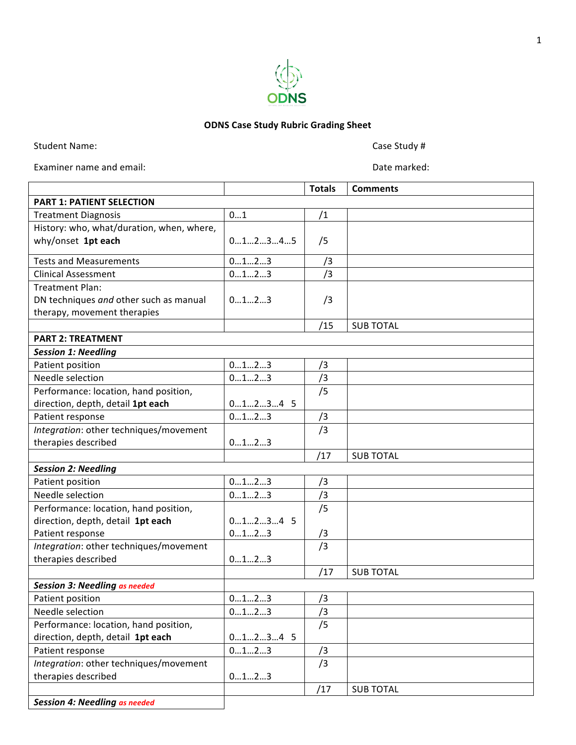

## **ODNS Case Study Rubric Grading Sheet**

Student Name: Case Study #

Examiner name and email: Examiner name and email:

|                                           |           | <b>Totals</b> | <b>Comments</b>  |  |  |
|-------------------------------------------|-----------|---------------|------------------|--|--|
| <b>PART 1: PATIENT SELECTION</b>          |           |               |                  |  |  |
| <b>Treatment Diagnosis</b>                | 01        | /1            |                  |  |  |
| History: who, what/duration, when, where, |           |               |                  |  |  |
| why/onset 1pt each                        | 012345    | /5            |                  |  |  |
| <b>Tests and Measurements</b>             | 0123      | /3            |                  |  |  |
| <b>Clinical Assessment</b>                | 0123      | /3            |                  |  |  |
| <b>Treatment Plan:</b>                    |           |               |                  |  |  |
| DN techniques and other such as manual    | 0123      | /3            |                  |  |  |
| therapy, movement therapies               |           |               |                  |  |  |
|                                           |           | /15           | <b>SUB TOTAL</b> |  |  |
| <b>PART 2: TREATMENT</b>                  |           |               |                  |  |  |
| <b>Session 1: Needling</b>                |           |               |                  |  |  |
| Patient position                          | 0123      | /3            |                  |  |  |
| Needle selection                          | 0123      | /3            |                  |  |  |
| Performance: location, hand position,     |           | /5            |                  |  |  |
| direction, depth, detail 1pt each         | $01234$ 5 |               |                  |  |  |
| Patient response                          | 0123      | /3            |                  |  |  |
| Integration: other techniques/movement    |           | /3            |                  |  |  |
| therapies described                       | 0123      |               |                  |  |  |
|                                           |           | /17           | <b>SUB TOTAL</b> |  |  |
| <b>Session 2: Needling</b>                |           |               |                  |  |  |
| Patient position                          | 0123      | /3            |                  |  |  |
| Needle selection                          | 0123      | /3            |                  |  |  |
| Performance: location, hand position,     |           | /5            |                  |  |  |
| direction, depth, detail 1pt each         | $01234$ 5 |               |                  |  |  |
| Patient response                          | 0123      | /3            |                  |  |  |
| Integration: other techniques/movement    |           | /3            |                  |  |  |
| therapies described                       | 0123      |               |                  |  |  |
|                                           |           | /17           | <b>SUB TOTAL</b> |  |  |
| <b>Session 3: Needling as needed</b>      |           |               |                  |  |  |
| Patient position                          | 0123      | /3            |                  |  |  |
| Needle selection                          | 0123      | /3            |                  |  |  |
| Performance: location, hand position,     |           | /5            |                  |  |  |
| direction, depth, detail 1pt each         | $01234$ 5 |               |                  |  |  |
| Patient response                          | 0123      | /3            |                  |  |  |
| Integration: other techniques/movement    |           | /3            |                  |  |  |
| therapies described                       | 0123      |               |                  |  |  |
|                                           |           | /17           | <b>SUB TOTAL</b> |  |  |
| <b>Session 4: Needling as needed</b>      |           |               |                  |  |  |